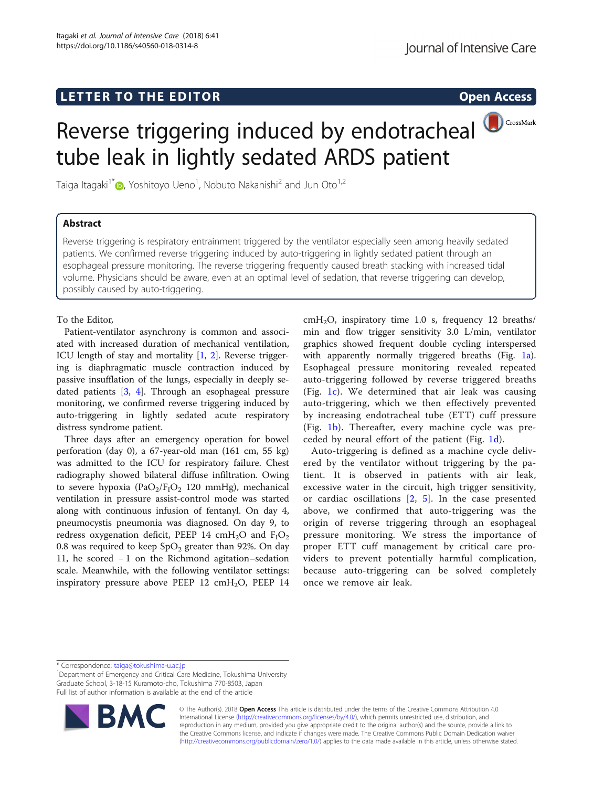# L E T T ER TO THE EXPLORATION OF THE EXPLORATION OF THE EXPLORATION OF THE EXPLORATION OF THE EXPLORATION OF T

## Reverse triggering induced by endotracheal CrossMark tube leak in lightly sedated ARDS patient

Taiga Itagaki $^{\rm 1*}$  $^{\rm 1*}$  $^{\rm 1*}$   $\rm \odot$ , Yoshitoyo Ueno $^{\rm 1}$ , Nobuto Nakanishi $^{\rm 2}$  and Jun Oto $^{\rm 1,2}$ 

### **Abstract**

Reverse triggering is respiratory entrainment triggered by the ventilator especially seen among heavily sedated patients. We confirmed reverse triggering induced by auto-triggering in lightly sedated patient through an esophageal pressure monitoring. The reverse triggering frequently caused breath stacking with increased tidal volume. Physicians should be aware, even at an optimal level of sedation, that reverse triggering can develop, possibly caused by auto-triggering.

To the Editor,

Patient-ventilator asynchrony is common and associated with increased duration of mechanical ventilation, ICU length of stay and mortality [[1,](#page-1-0) [2](#page-1-0)]. Reverse triggering is diaphragmatic muscle contraction induced by passive insufflation of the lungs, especially in deeply sedated patients [\[3](#page-1-0), [4](#page-1-0)]. Through an esophageal pressure monitoring, we confirmed reverse triggering induced by auto-triggering in lightly sedated acute respiratory distress syndrome patient.

Three days after an emergency operation for bowel perforation (day 0), a 67-year-old man (161 cm, 55 kg) was admitted to the ICU for respiratory failure. Chest radiography showed bilateral diffuse infiltration. Owing to severe hypoxia (PaO<sub>2</sub>/F<sub>I</sub>O<sub>2</sub> 120 mmHg), mechanical ventilation in pressure assist-control mode was started along with continuous infusion of fentanyl. On day 4, pneumocystis pneumonia was diagnosed. On day 9, to redress oxygenation deficit, PEEP 14 cmH<sub>2</sub>O and  $F_1O_2$ 0.8 was required to keep  $SpO<sub>2</sub>$  greater than 92%. On day 11, he scored − 1 on the Richmond agitation–sedation scale. Meanwhile, with the following ventilator settings: inspiratory pressure above PEEP 12 cmH<sub>2</sub>O, PEEP 14

 $cmH<sub>2</sub>O$ , inspiratory time 1.0 s, frequency 12 breaths/ min and flow trigger sensitivity 3.0 L/min, ventilator graphics showed frequent double cycling interspersed with apparently normally triggered breaths (Fig. [1a](#page-1-0)). Esophageal pressure monitoring revealed repeated auto-triggering followed by reverse triggered breaths (Fig. [1c\)](#page-1-0). We determined that air leak was causing auto-triggering, which we then effectively prevented by increasing endotracheal tube (ETT) cuff pressure (Fig. [1b](#page-1-0)). Thereafter, every machine cycle was preceded by neural effort of the patient (Fig. [1d](#page-1-0)).

Auto-triggering is defined as a machine cycle delivered by the ventilator without triggering by the patient. It is observed in patients with air leak, excessive water in the circuit, high trigger sensitivity, or cardiac oscillations [[2,](#page-1-0) [5\]](#page-1-0). In the case presented above, we confirmed that auto-triggering was the origin of reverse triggering through an esophageal pressure monitoring. We stress the importance of proper ETT cuff management by critical care providers to prevent potentially harmful complication, because auto-triggering can be solved completely once we remove air leak.

\* Correspondence: [taiga@tokushima-u.ac.jp](mailto:taiga@tokushima-u.ac.jp) <sup>1</sup>

<sup>1</sup>Department of Emergency and Critical Care Medicine, Tokushima University Graduate School, 3-18-15 Kuramoto-cho, Tokushima 770-8503, Japan Full list of author information is available at the end of the article



© The Author(s). 2018 Open Access This article is distributed under the terms of the Creative Commons Attribution 4.0 International License [\(http://creativecommons.org/licenses/by/4.0/](http://creativecommons.org/licenses/by/4.0/)), which permits unrestricted use, distribution, and reproduction in any medium, provided you give appropriate credit to the original author(s) and the source, provide a link to the Creative Commons license, and indicate if changes were made. The Creative Commons Public Domain Dedication waiver [\(http://creativecommons.org/publicdomain/zero/1.0/](http://creativecommons.org/publicdomain/zero/1.0/)) applies to the data made available in this article, unless otherwise stated.